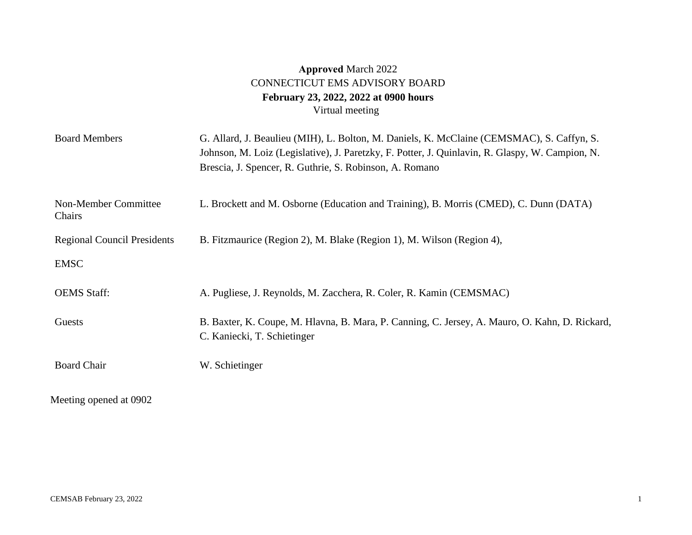## **Approved** March 2022 CONNECTICUT EMS ADVISORY BOARD **February 23, 2022, 2022 at 0900 hours**  Virtual meeting

| <b>Board Members</b>               | G. Allard, J. Beaulieu (MIH), L. Bolton, M. Daniels, K. McClaine (CEMSMAC), S. Caffyn, S.<br>Johnson, M. Loiz (Legislative), J. Paretzky, F. Potter, J. Quinlavin, R. Glaspy, W. Campion, N.<br>Brescia, J. Spencer, R. Guthrie, S. Robinson, A. Romano |
|------------------------------------|---------------------------------------------------------------------------------------------------------------------------------------------------------------------------------------------------------------------------------------------------------|
| Non-Member Committee<br>Chairs     | L. Brockett and M. Osborne (Education and Training), B. Morris (CMED), C. Dunn (DATA)                                                                                                                                                                   |
| <b>Regional Council Presidents</b> | B. Fitzmaurice (Region 2), M. Blake (Region 1), M. Wilson (Region 4),                                                                                                                                                                                   |
| <b>EMSC</b>                        |                                                                                                                                                                                                                                                         |
| <b>OEMS</b> Staff:                 | A. Pugliese, J. Reynolds, M. Zacchera, R. Coler, R. Kamin (CEMSMAC)                                                                                                                                                                                     |
| Guests                             | B. Baxter, K. Coupe, M. Hlavna, B. Mara, P. Canning, C. Jersey, A. Mauro, O. Kahn, D. Rickard,<br>C. Kaniecki, T. Schietinger                                                                                                                           |
| <b>Board Chair</b>                 | W. Schietinger                                                                                                                                                                                                                                          |

Meeting opened at 0902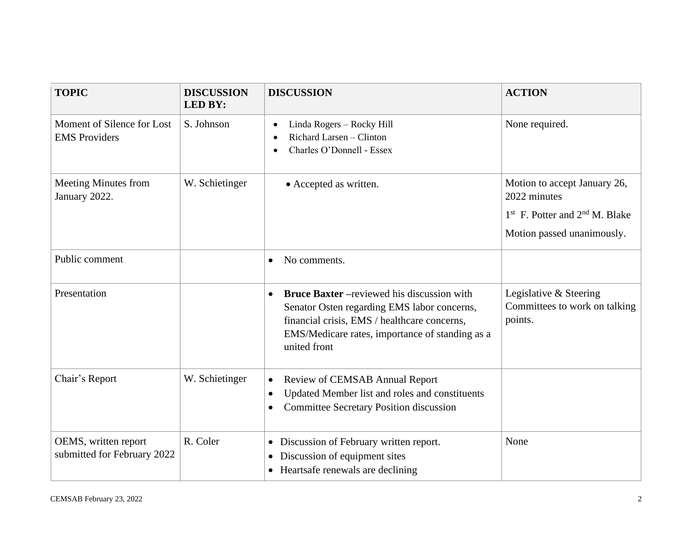| <b>TOPIC</b>                                        | <b>DISCUSSION</b><br><b>LED BY:</b> | <b>DISCUSSION</b>                                                                                                                                                                                                                 | <b>ACTION</b>                                                                                                    |
|-----------------------------------------------------|-------------------------------------|-----------------------------------------------------------------------------------------------------------------------------------------------------------------------------------------------------------------------------------|------------------------------------------------------------------------------------------------------------------|
| Moment of Silence for Lost<br><b>EMS</b> Providers  | S. Johnson                          | Linda Rogers - Rocky Hill<br>$\bullet$<br>Richard Larsen - Clinton<br>$\bullet$<br>Charles O'Donnell - Essex                                                                                                                      | None required.                                                                                                   |
| <b>Meeting Minutes from</b><br>January 2022.        | W. Schietinger                      | • Accepted as written.                                                                                                                                                                                                            | Motion to accept January 26,<br>2022 minutes<br>$1st$ F. Potter and $2nd$ M. Blake<br>Motion passed unanimously. |
| Public comment                                      |                                     | No comments.<br>$\bullet$                                                                                                                                                                                                         |                                                                                                                  |
| Presentation                                        |                                     | <b>Bruce Baxter</b> - reviewed his discussion with<br>$\bullet$<br>Senator Osten regarding EMS labor concerns,<br>financial crisis, EMS / healthcare concerns,<br>EMS/Medicare rates, importance of standing as a<br>united front | Legislative & Steering<br>Committees to work on talking<br>points.                                               |
| Chair's Report                                      | W. Schietinger                      | Review of CEMSAB Annual Report<br>$\bullet$<br>Updated Member list and roles and constituents<br><b>Committee Secretary Position discussion</b>                                                                                   |                                                                                                                  |
| OEMS, written report<br>submitted for February 2022 | R. Coler                            | • Discussion of February written report.<br>Discussion of equipment sites<br>$\bullet$<br>• Heartsafe renewals are declining                                                                                                      | None                                                                                                             |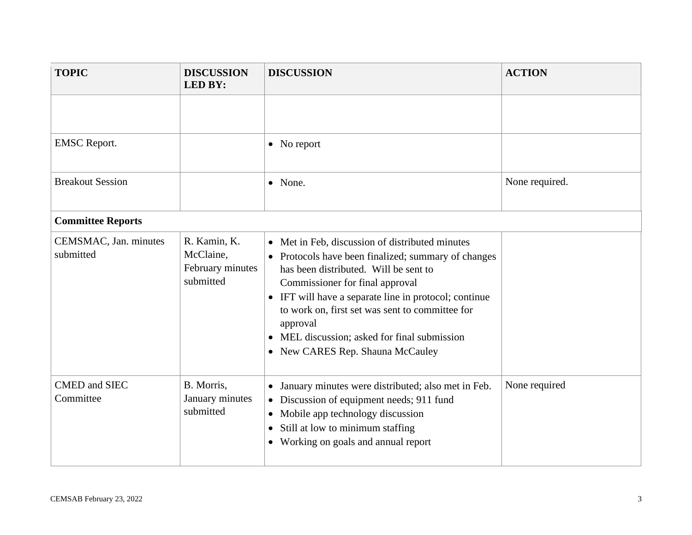| <b>TOPIC</b>                       | <b>DISCUSSION</b><br><b>LED BY:</b>                        | <b>DISCUSSION</b>                                                                                                                                                                                                                                                                                                                                                                            | <b>ACTION</b>  |
|------------------------------------|------------------------------------------------------------|----------------------------------------------------------------------------------------------------------------------------------------------------------------------------------------------------------------------------------------------------------------------------------------------------------------------------------------------------------------------------------------------|----------------|
|                                    |                                                            |                                                                                                                                                                                                                                                                                                                                                                                              |                |
| <b>EMSC</b> Report.                |                                                            | $\bullet$ No report                                                                                                                                                                                                                                                                                                                                                                          |                |
| <b>Breakout Session</b>            |                                                            | • None.                                                                                                                                                                                                                                                                                                                                                                                      | None required. |
| <b>Committee Reports</b>           |                                                            |                                                                                                                                                                                                                                                                                                                                                                                              |                |
| CEMSMAC, Jan. minutes<br>submitted | R. Kamin, K.<br>McClaine,<br>February minutes<br>submitted | • Met in Feb, discussion of distributed minutes<br>• Protocols have been finalized; summary of changes<br>has been distributed. Will be sent to<br>Commissioner for final approval<br>• IFT will have a separate line in protocol; continue<br>to work on, first set was sent to committee for<br>approval<br>MEL discussion; asked for final submission<br>• New CARES Rep. Shauna McCauley |                |
| <b>CMED</b> and SIEC<br>Committee  | B. Morris,<br>January minutes<br>submitted                 | January minutes were distributed; also met in Feb.<br>$\bullet$<br>Discussion of equipment needs; 911 fund<br>$\bullet$<br>Mobile app technology discussion<br>$\bullet$<br>Still at low to minimum staffing<br>$\bullet$<br>• Working on goals and annual report                                                                                                                            | None required  |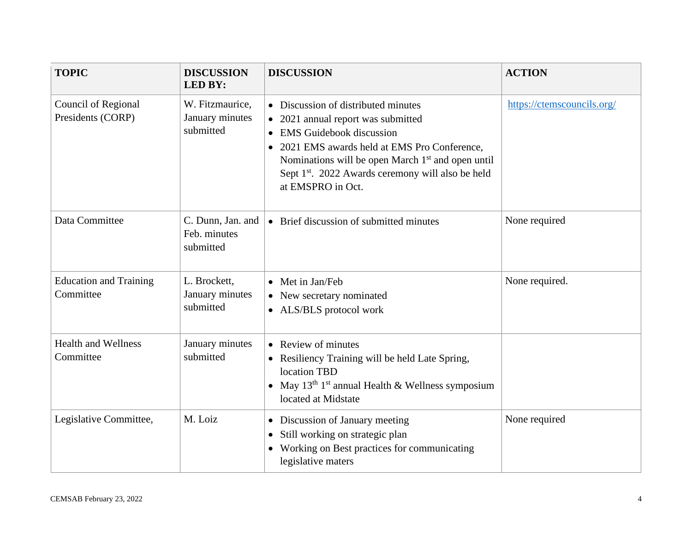| <b>TOPIC</b>                               | <b>DISCUSSION</b><br><b>LED BY:</b>             | <b>DISCUSSION</b>                                                                                                                                                                                                                                                                                                  | <b>ACTION</b>              |
|--------------------------------------------|-------------------------------------------------|--------------------------------------------------------------------------------------------------------------------------------------------------------------------------------------------------------------------------------------------------------------------------------------------------------------------|----------------------------|
| Council of Regional<br>Presidents (CORP)   | W. Fitzmaurice,<br>January minutes<br>submitted | • Discussion of distributed minutes<br>• 2021 annual report was submitted<br><b>EMS</b> Guidebook discussion<br>2021 EMS awards held at EMS Pro Conference,<br>Nominations will be open March 1 <sup>st</sup> and open until<br>Sept 1 <sup>st</sup> . 2022 Awards ceremony will also be held<br>at EMSPRO in Oct. | https://ctemscouncils.org/ |
| Data Committee                             | C. Dunn, Jan. and<br>Feb. minutes<br>submitted  | • Brief discussion of submitted minutes                                                                                                                                                                                                                                                                            | None required              |
| <b>Education and Training</b><br>Committee | L. Brockett,<br>January minutes<br>submitted    | • Met in Jan/Feb<br>• New secretary nominated<br>• ALS/BLS protocol work                                                                                                                                                                                                                                           | None required.             |
| <b>Health and Wellness</b><br>Committee    | January minutes<br>submitted                    | • Review of minutes<br>• Resiliency Training will be held Late Spring,<br>location TBD<br>• May $13th 1st$ annual Health & Wellness symposium<br>located at Midstate                                                                                                                                               |                            |
| Legislative Committee,                     | M. Loiz                                         | • Discussion of January meeting<br>Still working on strategic plan<br>$\bullet$<br>• Working on Best practices for communicating<br>legislative maters                                                                                                                                                             | None required              |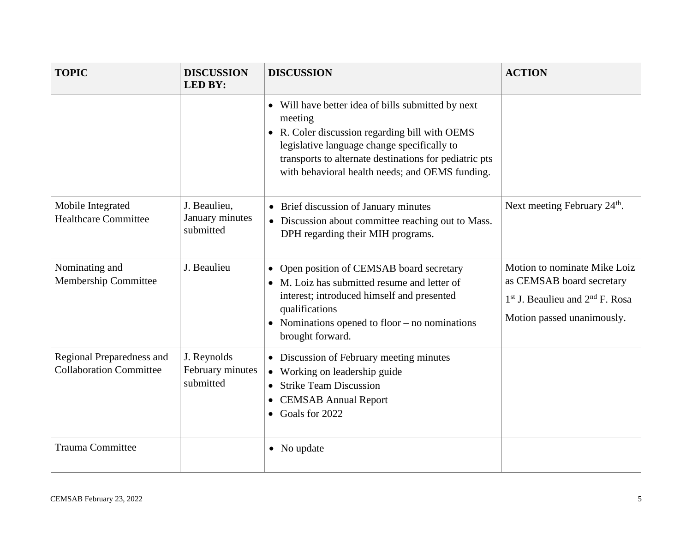| <b>TOPIC</b>                                                | <b>DISCUSSION</b><br><b>LED BY:</b>          | <b>DISCUSSION</b>                                                                                                                                                                                                                                                           | <b>ACTION</b>                                                                                                                  |
|-------------------------------------------------------------|----------------------------------------------|-----------------------------------------------------------------------------------------------------------------------------------------------------------------------------------------------------------------------------------------------------------------------------|--------------------------------------------------------------------------------------------------------------------------------|
|                                                             |                                              | • Will have better idea of bills submitted by next<br>meeting<br>• R. Coler discussion regarding bill with OEMS<br>legislative language change specifically to<br>transports to alternate destinations for pediatric pts<br>with behavioral health needs; and OEMS funding. |                                                                                                                                |
| Mobile Integrated<br><b>Healthcare Committee</b>            | J. Beaulieu,<br>January minutes<br>submitted | • Brief discussion of January minutes<br>• Discussion about committee reaching out to Mass.<br>DPH regarding their MIH programs.                                                                                                                                            | Next meeting February 24 <sup>th</sup> .                                                                                       |
| Nominating and<br>Membership Committee                      | J. Beaulieu                                  | • Open position of CEMSAB board secretary<br>• M. Loiz has submitted resume and letter of<br>interest; introduced himself and presented<br>qualifications<br>• Nominations opened to floor $-$ no nominations<br>brought forward.                                           | Motion to nominate Mike Loiz<br>as CEMSAB board secretary<br>$1st$ J. Beaulieu and $2nd$ F. Rosa<br>Motion passed unanimously. |
| Regional Preparedness and<br><b>Collaboration Committee</b> | J. Reynolds<br>February minutes<br>submitted | • Discussion of February meeting minutes<br>• Working on leadership guide<br>• Strike Team Discussion<br><b>CEMSAB Annual Report</b><br>$\bullet$<br>$\bullet$ Goals for 2022                                                                                               |                                                                                                                                |
| <b>Trauma Committee</b>                                     |                                              | • No update                                                                                                                                                                                                                                                                 |                                                                                                                                |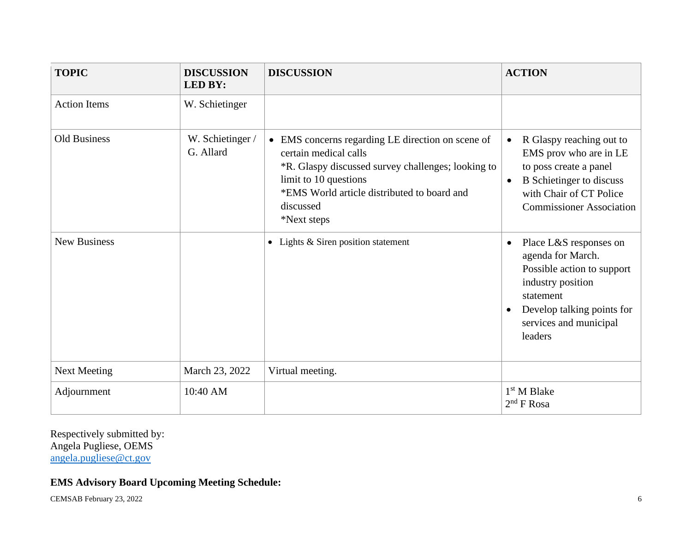| <b>TOPIC</b>        | <b>DISCUSSION</b><br><b>LED BY:</b> | <b>DISCUSSION</b>                                                                                                                                                                                                                    | <b>ACTION</b>                                                                                                                                                                                           |
|---------------------|-------------------------------------|--------------------------------------------------------------------------------------------------------------------------------------------------------------------------------------------------------------------------------------|---------------------------------------------------------------------------------------------------------------------------------------------------------------------------------------------------------|
| <b>Action Items</b> | W. Schietinger                      |                                                                                                                                                                                                                                      |                                                                                                                                                                                                         |
| <b>Old Business</b> | W. Schietinger /<br>G. Allard       | • EMS concerns regarding LE direction on scene of<br>certain medical calls<br>*R. Glaspy discussed survey challenges; looking to<br>limit to 10 questions<br>*EMS World article distributed to board and<br>discussed<br>*Next steps | R Glaspy reaching out to<br>$\bullet$<br>EMS prov who are in LE<br>to poss create a panel<br><b>B</b> Schietinger to discuss<br>$\bullet$<br>with Chair of CT Police<br><b>Commissioner Association</b> |
| <b>New Business</b> |                                     | • Lights & Siren position statement                                                                                                                                                                                                  | Place L&S responses on<br>$\bullet$<br>agenda for March.<br>Possible action to support<br>industry position<br>statement<br>Develop talking points for<br>services and municipal<br>leaders             |
| <b>Next Meeting</b> | March 23, 2022                      | Virtual meeting.                                                                                                                                                                                                                     |                                                                                                                                                                                                         |
| Adjournment         | 10:40 AM                            |                                                                                                                                                                                                                                      | $1st$ M Blake<br>$2nd$ F Rosa                                                                                                                                                                           |

Respectively submitted by: Angela Pugliese, OEMS [angela.pugliese@ct.gov](mailto:angela.pugliese@ct.gov)

## **EMS Advisory Board Upcoming Meeting Schedule:**